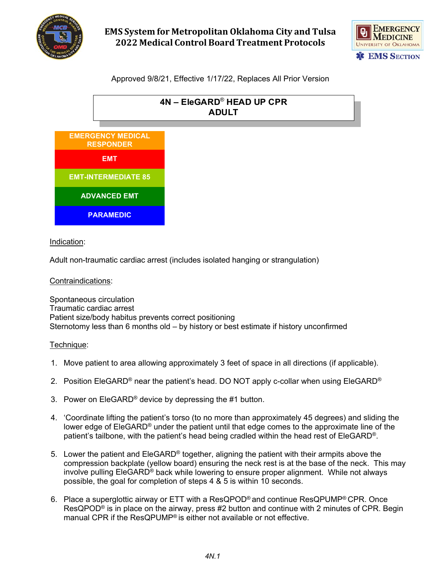

# **EMS System for Metropolitan Oklahoma City and Tulsa 2022 Medical Control Board Treatment Protocols**



# Approved 9/8/21, Effective 1/17/22, Replaces All Prior Version



### Indication:

Adult non-traumatic cardiac arrest (includes isolated hanging or strangulation)

### Contraindications:

Spontaneous circulation Traumatic cardiac arrest Patient size/body habitus prevents correct positioning Sternotomy less than 6 months old – by history or best estimate if history unconfirmed

#### Technique:

- 1. Move patient to area allowing approximately 3 feet of space in all directions (if applicable).
- 2. Position EleGARD<sup>®</sup> near the patient's head. DO NOT apply c-collar when using EleGARD<sup>®</sup>
- 3. Power on EleGARD® device by depressing the #1 button.
- 4. 'Coordinate lifting the patient's torso (to no more than approximately 45 degrees) and sliding the lower edge of EleGARD® under the patient until that edge comes to the approximate line of the patient's tailbone, with the patient's head being cradled within the head rest of EleGARD®.
- 5. Lower the patient and  $E_1$ egaRD<sup>®</sup> together, aligning the patient with their armpits above the compression backplate (yellow board) ensuring the neck rest is at the base of the neck. This may involve pulling EleGARD® back while lowering to ensure proper alignment. While not always possible, the goal for completion of steps 4 & 5 is within 10 seconds.
- 6. Place a superglottic airway or ETT with a ResQPOD® and continue ResQPUMP® CPR. Once ResQPOD® is in place on the airway, press #2 button and continue with 2 minutes of CPR. Begin manual CPR if the ResQPUMP® is either not available or not effective.